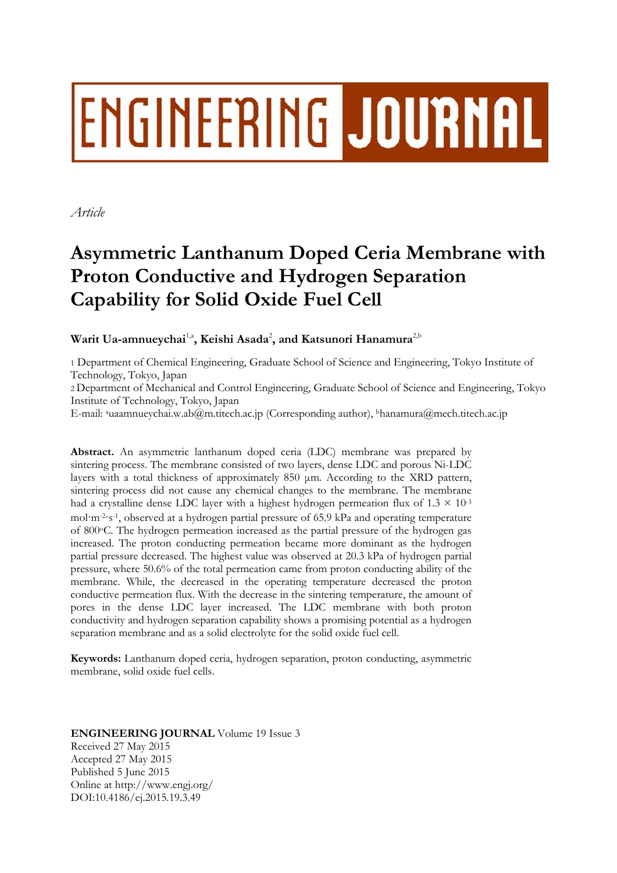# ENGINEERING JOURNAL

*Article* 

# **Asymmetric Lanthanum Doped Ceria Membrane with Proton Conductive and Hydrogen Separation Capability for Solid Oxide Fuel Cell**

 $\mathbf{W}$ arit Ua-amnueychai $^{1, \mathtt{a}}$ , **K**eishi Asada $^{2},$  and Katsunori Hanamura $^{2, \mathtt{b}}$ 

1 Department of Chemical Engineering, Graduate School of Science and Engineering, Tokyo Institute of Technology, Tokyo, Japan

2 Department of Mechanical and Control Engineering, Graduate School of Science and Engineering, Tokyo Institute of Technology, Tokyo, Japan

E-mail: auaamnueychai.w.ab@m.titech.ac.jp (Corresponding author), bhanamura@mech.titech.ac.jp

**Abstract.** An asymmetric lanthanum doped ceria (LDC) membrane was prepared by sintering process. The membrane consisted of two layers, dense LDC and porous Ni-LDC layers with a total thickness of approximately 850 μm. According to the XRD pattern, sintering process did not cause any chemical changes to the membrane. The membrane had a crystalline dense LDC layer with a highest hydrogen permeation flux of  $1.3 \times 10^{-3}$ mol·m-2·s-1, observed at a hydrogen partial pressure of 65.9 kPa and operating temperature of 800oC. The hydrogen permeation increased as the partial pressure of the hydrogen gas increased. The proton conducting permeation became more dominant as the hydrogen partial pressure decreased. The highest value was observed at 20.3 kPa of hydrogen partial pressure, where 50.6% of the total permeation came from proton conducting ability of the membrane. While, the decreased in the operating temperature decreased the proton conductive permeation flux. With the decrease in the sintering temperature, the amount of pores in the dense LDC layer increased. The LDC membrane with both proton conductivity and hydrogen separation capability shows a promising potential as a hydrogen separation membrane and as a solid electrolyte for the solid oxide fuel cell.

**Keywords:** Lanthanum doped ceria, hydrogen separation, proton conducting, asymmetric membrane, solid oxide fuel cells.

# **ENGINEERING JOURNAL** Volume 19 Issue 3 Received 27 May 2015

Accepted 27 May 2015 Published 5 June 2015 Online at http://www.engj.org/ DOI:10.4186/ej.2015.19.3.49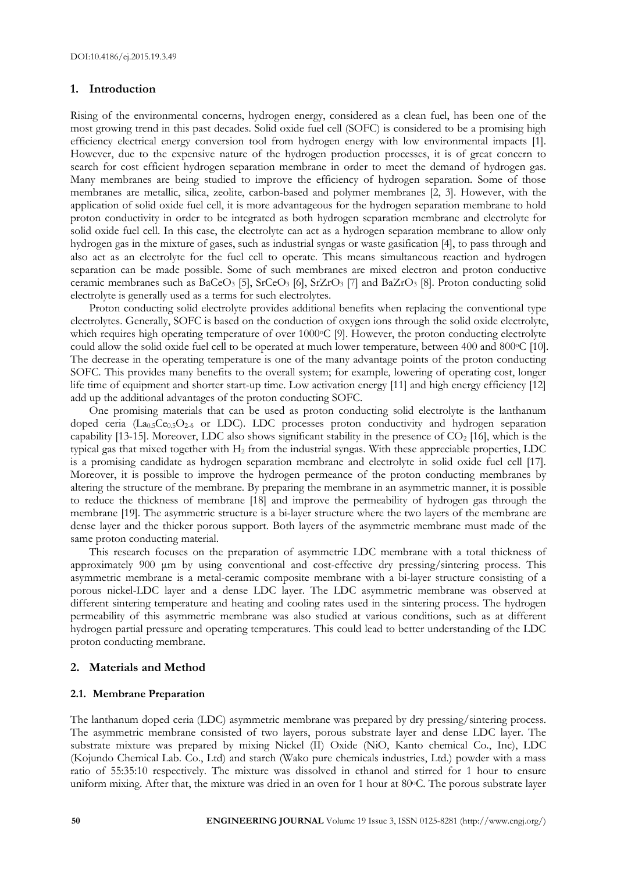# **1. Introduction**

Rising of the environmental concerns, hydrogen energy, considered as a clean fuel, has been one of the most growing trend in this past decades. Solid oxide fuel cell (SOFC) is considered to be a promising high efficiency electrical energy conversion tool from hydrogen energy with low environmental impacts [1]. However, due to the expensive nature of the hydrogen production processes, it is of great concern to search for cost efficient hydrogen separation membrane in order to meet the demand of hydrogen gas. Many membranes are being studied to improve the efficiency of hydrogen separation. Some of those membranes are metallic, silica, zeolite, carbon-based and polymer membranes [2, 3]. However, with the application of solid oxide fuel cell, it is more advantageous for the hydrogen separation membrane to hold proton conductivity in order to be integrated as both hydrogen separation membrane and electrolyte for solid oxide fuel cell. In this case, the electrolyte can act as a hydrogen separation membrane to allow only hydrogen gas in the mixture of gases, such as industrial syngas or waste gasification [4], to pass through and also act as an electrolyte for the fuel cell to operate. This means simultaneous reaction and hydrogen separation can be made possible. Some of such membranes are mixed electron and proton conductive ceramic membranes such as BaCeO<sub>3</sub> [5], SrCeO<sub>3</sub> [6], SrZrO<sub>3</sub> [7] and BaZrO<sub>3</sub> [8]. Proton conducting solid electrolyte is generally used as a terms for such electrolytes.

Proton conducting solid electrolyte provides additional benefits when replacing the conventional type electrolytes. Generally, SOFC is based on the conduction of oxygen ions through the solid oxide electrolyte, which requires high operating temperature of over 1000°C [9]. However, the proton conducting electrolyte could allow the solid oxide fuel cell to be operated at much lower temperature, between 400 and 800 °C [10]. The decrease in the operating temperature is one of the many advantage points of the proton conducting SOFC. This provides many benefits to the overall system; for example, lowering of operating cost, longer life time of equipment and shorter start-up time. Low activation energy [11] and high energy efficiency [12] add up the additional advantages of the proton conducting SOFC.

One promising materials that can be used as proton conducting solid electrolyte is the lanthanum doped ceria (La<sub>0.5</sub>Ce<sub>0.5</sub>O<sub>2-δ</sub> or LDC). LDC processes proton conductivity and hydrogen separation capability [13-15]. Moreover, LDC also shows significant stability in the presence of  $CO<sub>2</sub>$  [16], which is the typical gas that mixed together with H2 from the industrial syngas. With these appreciable properties, LDC is a promising candidate as hydrogen separation membrane and electrolyte in solid oxide fuel cell [17]. Moreover, it is possible to improve the hydrogen permeance of the proton conducting membranes by altering the structure of the membrane. By preparing the membrane in an asymmetric manner, it is possible to reduce the thickness of membrane [18] and improve the permeability of hydrogen gas through the membrane [19]. The asymmetric structure is a bi-layer structure where the two layers of the membrane are dense layer and the thicker porous support. Both layers of the asymmetric membrane must made of the same proton conducting material.

This research focuses on the preparation of asymmetric LDC membrane with a total thickness of approximately 900 μm by using conventional and cost-effective dry pressing/sintering process. This asymmetric membrane is a metal-ceramic composite membrane with a bi-layer structure consisting of a porous nickel-LDC layer and a dense LDC layer. The LDC asymmetric membrane was observed at different sintering temperature and heating and cooling rates used in the sintering process. The hydrogen permeability of this asymmetric membrane was also studied at various conditions, such as at different hydrogen partial pressure and operating temperatures. This could lead to better understanding of the LDC proton conducting membrane.

# **2. Materials and Method**

#### **2.1. Membrane Preparation**

The lanthanum doped ceria (LDC) asymmetric membrane was prepared by dry pressing/sintering process. The asymmetric membrane consisted of two layers, porous substrate layer and dense LDC layer. The substrate mixture was prepared by mixing Nickel (II) Oxide (NiO, Kanto chemical Co., Inc), LDC (Kojundo Chemical Lab. Co., Ltd) and starch (Wako pure chemicals industries, Ltd.) powder with a mass ratio of 55:35:10 respectively. The mixture was dissolved in ethanol and stirred for 1 hour to ensure uniform mixing. After that, the mixture was dried in an oven for 1 hour at  $80^{\circ}$ C. The porous substrate layer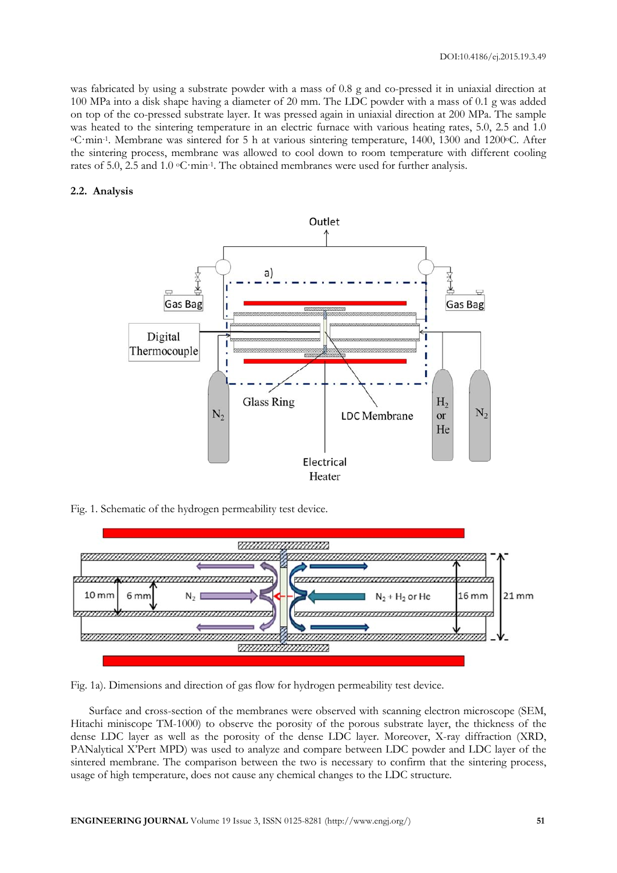was fabricated by using a substrate powder with a mass of 0.8 g and co-pressed it in uniaxial direction at 100 MPa into a disk shape having a diameter of 20 mm. The LDC powder with a mass of 0.1 g was added on top of the co-pressed substrate layer. It was pressed again in uniaxial direction at 200 MPa. The sample was heated to the sintering temperature in an electric furnace with various heating rates, 5.0, 2.5 and 1.0 °C·min<sup>-1</sup>. Membrane was sintered for 5 h at various sintering temperature, 1400, 1300 and 1200°C. After the sintering process, membrane was allowed to cool down to room temperature with different cooling rates of 5.0, 2.5 and 1.0 oC·min-1. The obtained membranes were used for further analysis.

# **2.2. Analysis**



Fig. 1. Schematic of the hydrogen permeability test device.



Fig. 1a). Dimensions and direction of gas flow for hydrogen permeability test device.

Surface and cross-section of the membranes were observed with scanning electron microscope (SEM, Hitachi miniscope TM-1000) to observe the porosity of the porous substrate layer, the thickness of the dense LDC layer as well as the porosity of the dense LDC layer. Moreover, X-ray diffraction (XRD, PANalytical X'Pert MPD) was used to analyze and compare between LDC powder and LDC layer of the sintered membrane. The comparison between the two is necessary to confirm that the sintering process, usage of high temperature, does not cause any chemical changes to the LDC structure.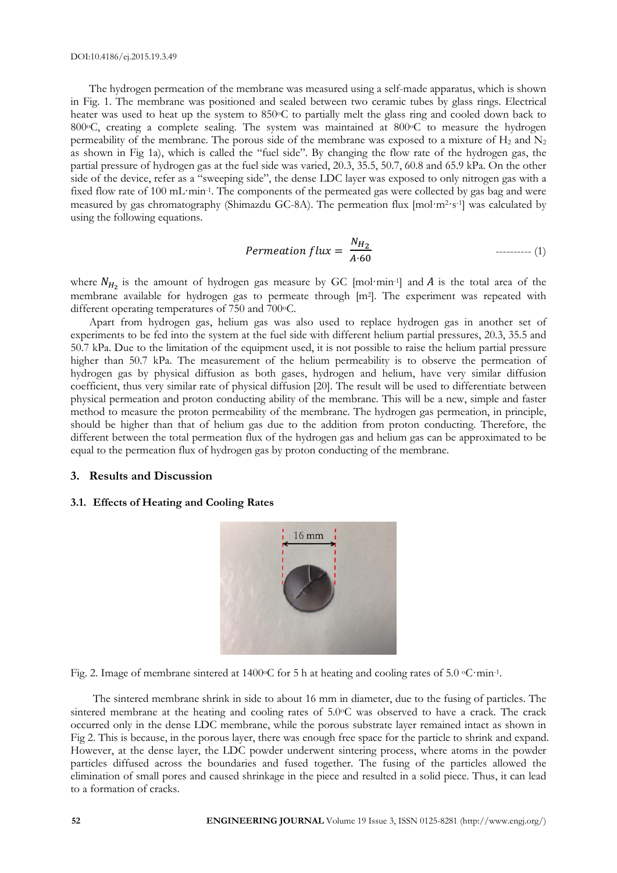The hydrogen permeation of the membrane was measured using a self-made apparatus, which is shown in Fig. 1. The membrane was positioned and sealed between two ceramic tubes by glass rings. Electrical heater was used to heat up the system to 850°C to partially melt the glass ring and cooled down back to 800°C, creating a complete sealing. The system was maintained at 800°C to measure the hydrogen permeability of the membrane. The porous side of the membrane was exposed to a mixture of  $H_2$  and  $N_2$ as shown in Fig 1a), which is called the "fuel side". By changing the flow rate of the hydrogen gas, the partial pressure of hydrogen gas at the fuel side was varied, 20.3, 35.5, 50.7, 60.8 and 65.9 kPa. On the other side of the device, refer as a "sweeping side", the dense LDC layer was exposed to only nitrogen gas with a fixed flow rate of 100 mL·min-1. The components of the permeated gas were collected by gas bag and were measured by gas chromatography (Shimazdu GC-8A). The permeation flux [mol·m2·s-1] was calculated by using the following equations.

$$
Permeation flux = \frac{N_{H_2}}{A \cdot 60} \qquad \qquad \text{---} \qquad (1)
$$

where  $N_{H_2}$  is the amount of hydrogen gas measure by GC [mol·min-1] and A is the total area of the membrane available for hydrogen gas to permeate through [m<sup>2</sup>]. The experiment was repeated with different operating temperatures of 750 and 700 °C.

Apart from hydrogen gas, helium gas was also used to replace hydrogen gas in another set of experiments to be fed into the system at the fuel side with different helium partial pressures, 20.3, 35.5 and 50.7 kPa. Due to the limitation of the equipment used, it is not possible to raise the helium partial pressure higher than 50.7 kPa. The measurement of the helium permeability is to observe the permeation of hydrogen gas by physical diffusion as both gases, hydrogen and helium, have very similar diffusion coefficient, thus very similar rate of physical diffusion [20]. The result will be used to differentiate between physical permeation and proton conducting ability of the membrane. This will be a new, simple and faster method to measure the proton permeability of the membrane. The hydrogen gas permeation, in principle, should be higher than that of helium gas due to the addition from proton conducting. Therefore, the different between the total permeation flux of the hydrogen gas and helium gas can be approximated to be equal to the permeation flux of hydrogen gas by proton conducting of the membrane.

# **3. Results and Discussion**

#### **3.1. Effects of Heating and Cooling Rates**



Fig. 2. Image of membrane sintered at 1400 °C for 5 h at heating and cooling rates of 5.0 °C·min-1.

The sintered membrane shrink in side to about 16 mm in diameter, due to the fusing of particles. The sintered membrane at the heating and cooling rates of 5.0°C was observed to have a crack. The crack occurred only in the dense LDC membrane, while the porous substrate layer remained intact as shown in Fig 2. This is because, in the porous layer, there was enough free space for the particle to shrink and expand. However, at the dense layer, the LDC powder underwent sintering process, where atoms in the powder particles diffused across the boundaries and fused together. The fusing of the particles allowed the elimination of small pores and caused shrinkage in the piece and resulted in a solid piece. Thus, it can lead to a formation of cracks.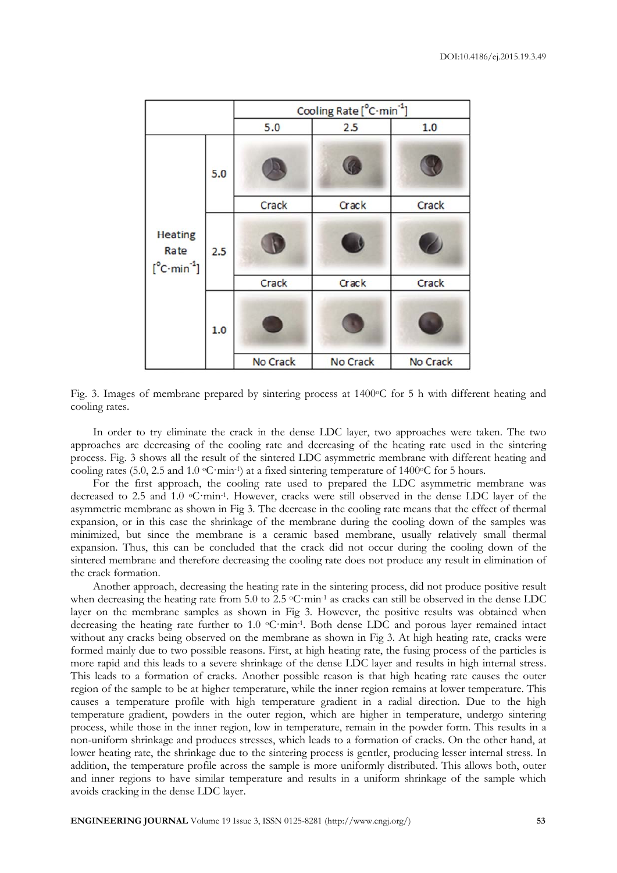|                                                                  |     | Cooling Rate [°C·min <sup>-1</sup> ] |          |          |
|------------------------------------------------------------------|-----|--------------------------------------|----------|----------|
|                                                                  |     | 5.0                                  | 2.5      | 1.0      |
| <b>Heating</b><br>Rate<br>$[^{\circ}$ C $\cdot$ min $^{\circ}$ ] | 5.0 |                                      |          |          |
|                                                                  |     | Crack                                | Crack    | Crack    |
|                                                                  | 2.5 |                                      |          |          |
|                                                                  |     | Crack                                | Crack    | Crack    |
|                                                                  | 1.0 |                                      |          |          |
|                                                                  |     | No Crack                             | No Crack | No Crack |

Fig. 3. Images of membrane prepared by sintering process at 1400 °C for 5 h with different heating and cooling rates.

In order to try eliminate the crack in the dense LDC layer, two approaches were taken. The two approaches are decreasing of the cooling rate and decreasing of the heating rate used in the sintering process. Fig. 3 shows all the result of the sintered LDC asymmetric membrane with different heating and cooling rates (5.0, 2.5 and 1.0  $\textdegree$ C·min<sup>-1</sup>) at a fixed sintering temperature of 1400 $\textdegree$ C for 5 hours.

For the first approach, the cooling rate used to prepared the LDC asymmetric membrane was decreased to 2.5 and 1.0 °C·min<sup>-1</sup>. However, cracks were still observed in the dense LDC layer of the asymmetric membrane as shown in Fig 3. The decrease in the cooling rate means that the effect of thermal expansion, or in this case the shrinkage of the membrane during the cooling down of the samples was minimized, but since the membrane is a ceramic based membrane, usually relatively small thermal expansion. Thus, this can be concluded that the crack did not occur during the cooling down of the sintered membrane and therefore decreasing the cooling rate does not produce any result in elimination of the crack formation.

Another approach, decreasing the heating rate in the sintering process, did not produce positive result when decreasing the heating rate from 5.0 to 2.5 °C·min<sup>-1</sup> as cracks can still be observed in the dense LDC layer on the membrane samples as shown in Fig 3. However, the positive results was obtained when decreasing the heating rate further to 1.0 °C·min<sup>-1</sup>. Both dense LDC and porous layer remained intact without any cracks being observed on the membrane as shown in Fig 3. At high heating rate, cracks were formed mainly due to two possible reasons. First, at high heating rate, the fusing process of the particles is more rapid and this leads to a severe shrinkage of the dense LDC layer and results in high internal stress. This leads to a formation of cracks. Another possible reason is that high heating rate causes the outer region of the sample to be at higher temperature, while the inner region remains at lower temperature. This causes a temperature profile with high temperature gradient in a radial direction. Due to the high temperature gradient, powders in the outer region, which are higher in temperature, undergo sintering process, while those in the inner region, low in temperature, remain in the powder form. This results in a non-uniform shrinkage and produces stresses, which leads to a formation of cracks. On the other hand, at lower heating rate, the shrinkage due to the sintering process is gentler, producing lesser internal stress. In addition, the temperature profile across the sample is more uniformly distributed. This allows both, outer and inner regions to have similar temperature and results in a uniform shrinkage of the sample which avoids cracking in the dense LDC layer.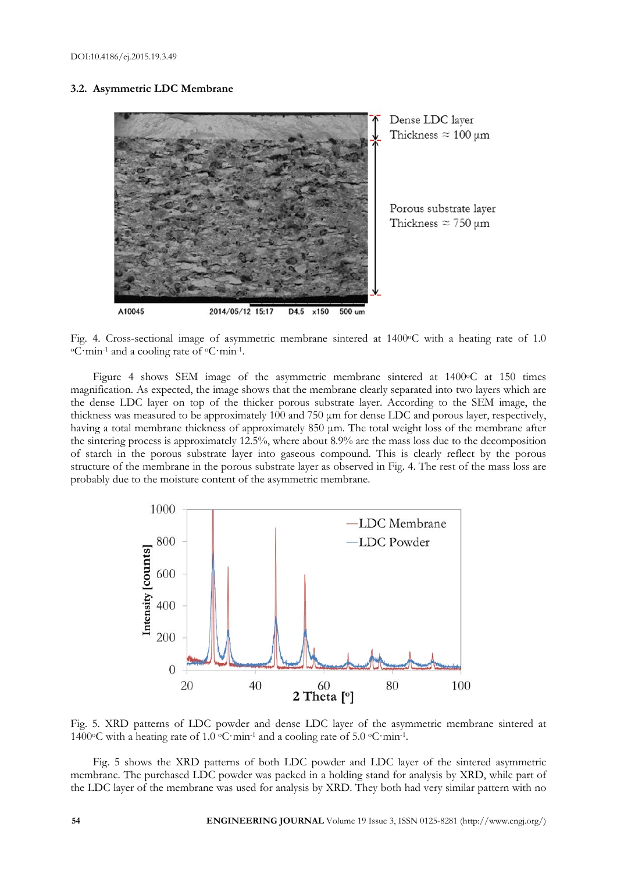# **3.2. Asymmetric LDC Membrane**



Fig. 4. Cross-sectional image of asymmetric membrane sintered at 1400 °C with a heating rate of 1.0 °C·min<sup>-1</sup> and a cooling rate of <sup>o</sup>C·min<sup>-1</sup>.

Figure 4 shows SEM image of the asymmetric membrane sintered at 1400°C at 150 times magnification. As expected, the image shows that the membrane clearly separated into two layers which are the dense LDC layer on top of the thicker porous substrate layer. According to the SEM image, the thickness was measured to be approximately 100 and 750 μm for dense LDC and porous layer, respectively, having a total membrane thickness of approximately 850 μm. The total weight loss of the membrane after the sintering process is approximately 12.5%, where about 8.9% are the mass loss due to the decomposition of starch in the porous substrate layer into gaseous compound. This is clearly reflect by the porous structure of the membrane in the porous substrate layer as observed in Fig. 4. The rest of the mass loss are probably due to the moisture content of the asymmetric membrane.



Fig. 5. XRD patterns of LDC powder and dense LDC layer of the asymmetric membrane sintered at 1400 $\degree$ C with a heating rate of 1.0  $\degree$ C·min<sup>-1</sup> and a cooling rate of 5.0  $\degree$ C·min<sup>-1</sup>.

Fig. 5 shows the XRD patterns of both LDC powder and LDC layer of the sintered asymmetric membrane. The purchased LDC powder was packed in a holding stand for analysis by XRD, while part of the LDC layer of the membrane was used for analysis by XRD. They both had very similar pattern with no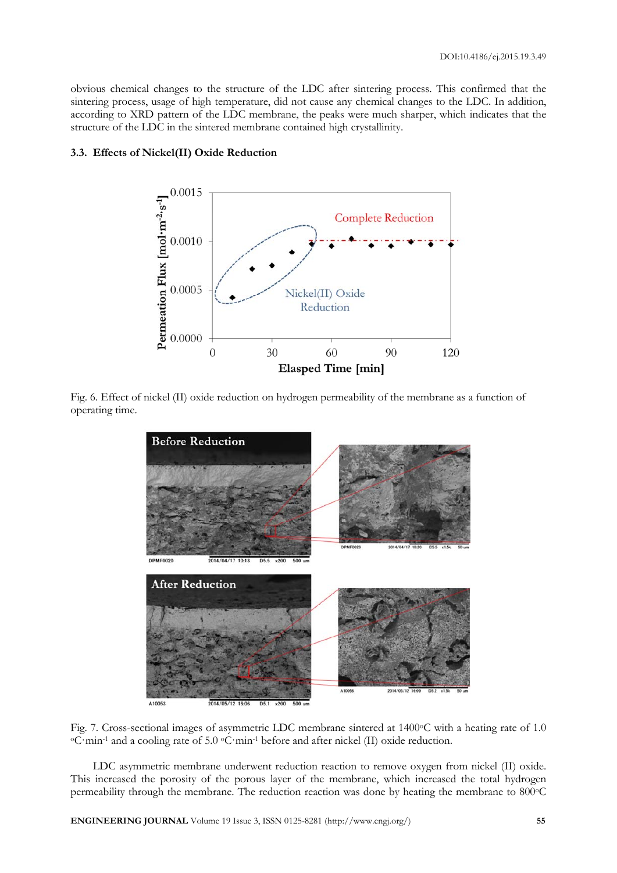obvious chemical changes to the structure of the LDC after sintering process. This confirmed that the sintering process, usage of high temperature, did not cause any chemical changes to the LDC. In addition, according to XRD pattern of the LDC membrane, the peaks were much sharper, which indicates that the structure of the LDC in the sintered membrane contained high crystallinity.



# **3.3. Effects of Nickel(II) Oxide Reduction**

Fig. 6. Effect of nickel (II) oxide reduction on hydrogen permeability of the membrane as a function of operating time.



2014/05/12 16:06  $D5.1 \times 200$ 500

Fig. 7. Cross-sectional images of asymmetric LDC membrane sintered at 1400°C with a heating rate of 1.0 °C·min<sup>-1</sup> and a cooling rate of 5.0 °C·min<sup>-1</sup> before and after nickel (II) oxide reduction.

LDC asymmetric membrane underwent reduction reaction to remove oxygen from nickel (II) oxide. This increased the porosity of the porous layer of the membrane, which increased the total hydrogen permeability through the membrane. The reduction reaction was done by heating the membrane to 800 °C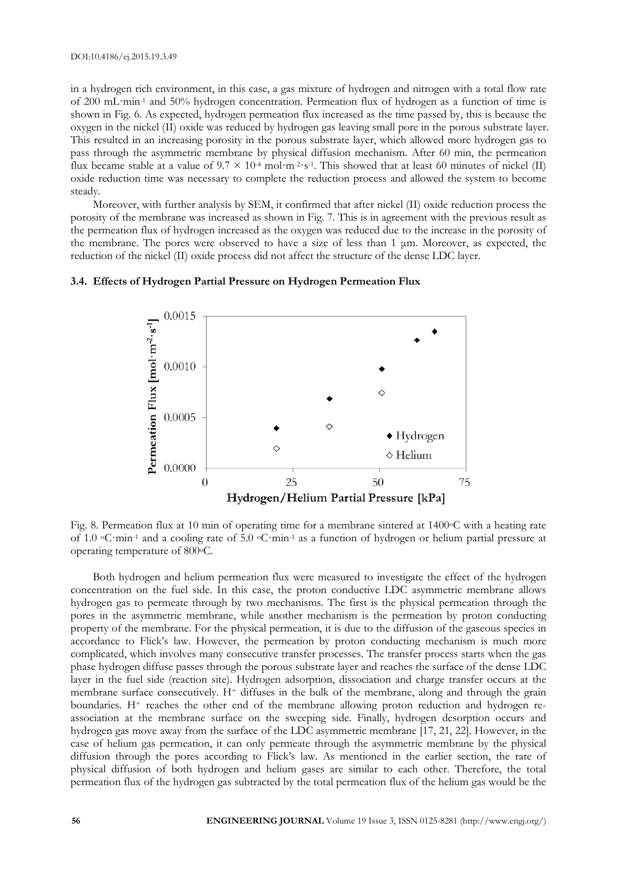in a hydrogen rich environment, in this case, a gas mixture of hydrogen and nitrogen with a total flow rate of 200 mL·min-1 and 50% hydrogen concentration. Permeation flux of hydrogen as a function of time is shown in Fig. 6. As expected, hydrogen permeation flux increased as the time passed by, this is because the oxygen in the nickel (II) oxide was reduced by hydrogen gas leaving small pore in the porous substrate layer. This resulted in an increasing porosity in the porous substrate layer, which allowed more hydrogen gas to pass through the asymmetric membrane by physical diffusion mechanism. After 60 min, the permeation flux became stable at a value of  $9.7 \times 10^{-4}$  mol·m<sup>-2·</sup>s<sup>-1</sup>. This showed that at least 60 minutes of nickel (II) oxide reduction time was necessary to complete the reduction process and allowed the system to become steady.

Moreover, with further analysis by SEM, it confirmed that after nickel (II) oxide reduction process the porosity of the membrane was increased as shown in Fig. 7. This is in agreement with the previous result as the permeation flux of hydrogen increased as the oxygen was reduced due to the increase in the porosity of the membrane. The pores were observed to have a size of less than  $1 \mu$ m. Moreover, as expected, the reduction of the nickel (II) oxide process did not affect the structure of the dense LDC layer.



# **3.4. Effects of Hydrogen Partial Pressure on Hydrogen Permeation Flux**

Fig. 8. Permeation flux at 10 min of operating time for a membrane sintered at 1400 °C with a heating rate of 1.0 oC·min-1 and a cooling rate of 5.0 oC·min-1 as a function of hydrogen or helium partial pressure at operating temperature of 800oC.

Both hydrogen and helium permeation flux were measured to investigate the effect of the hydrogen concentration on the fuel side. In this case, the proton conductive LDC asymmetric membrane allows hydrogen gas to permeate through by two mechanisms. The first is the physical permeation through the pores in the asymmetric membrane, while another mechanism is the permeation by proton conducting property of the membrane. For the physical permeation, it is due to the diffusion of the gaseous species in accordance to Flick's law. However, the permeation by proton conducting mechanism is much more complicated, which involves many consecutive transfer processes. The transfer process starts when the gas phase hydrogen diffuse passes through the porous substrate layer and reaches the surface of the dense LDC layer in the fuel side (reaction site). Hydrogen adsorption, dissociation and charge transfer occurs at the membrane surface consecutively. H<sup>+</sup> diffuses in the bulk of the membrane, along and through the grain boundaries. H<sup>+</sup> reaches the other end of the membrane allowing proton reduction and hydrogen reassociation at the membrane surface on the sweeping side. Finally, hydrogen desorption occurs and hydrogen gas move away from the surface of the LDC asymmetric membrane [17, 21, 22]. However, in the case of helium gas permeation, it can only permeate through the asymmetric membrane by the physical diffusion through the pores according to Flick's law. As mentioned in the earlier section, the rate of physical diffusion of both hydrogen and helium gases are similar to each other. Therefore, the total permeation flux of the hydrogen gas subtracted by the total permeation flux of the helium gas would be the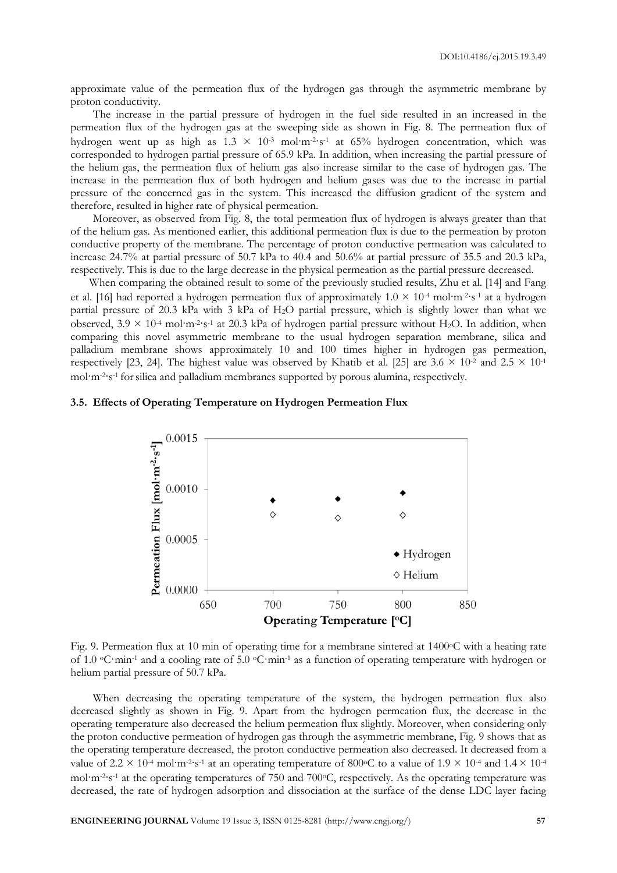approximate value of the permeation flux of the hydrogen gas through the asymmetric membrane by proton conductivity.

The increase in the partial pressure of hydrogen in the fuel side resulted in an increased in the permeation flux of the hydrogen gas at the sweeping side as shown in Fig. 8. The permeation flux of hydrogen went up as high as  $1.3 \times 10^{-3}$  mol·m<sup>-2</sup>·s<sup>-1</sup> at 65% hydrogen concentration, which was corresponded to hydrogen partial pressure of 65.9 kPa. In addition, when increasing the partial pressure of the helium gas, the permeation flux of helium gas also increase similar to the case of hydrogen gas. The increase in the permeation flux of both hydrogen and helium gases was due to the increase in partial pressure of the concerned gas in the system. This increased the diffusion gradient of the system and therefore, resulted in higher rate of physical permeation.

Moreover, as observed from Fig. 8, the total permeation flux of hydrogen is always greater than that of the helium gas. As mentioned earlier, this additional permeation flux is due to the permeation by proton conductive property of the membrane. The percentage of proton conductive permeation was calculated to increase 24.7% at partial pressure of 50.7 kPa to 40.4 and 50.6% at partial pressure of 35.5 and 20.3 kPa, respectively. This is due to the large decrease in the physical permeation as the partial pressure decreased.

When comparing the obtained result to some of the previously studied results, Zhu et al. [14] and Fang et al. [16] had reported a hydrogen permeation flux of approximately  $1.0 \times 10^{-4}$  mol·m<sup>-2</sup>·s<sup>-1</sup> at a hydrogen partial pressure of 20.3 kPa with 3 kPa of H2O partial pressure, which is slightly lower than what we observed,  $3.9 \times 10^{4}$  mol·m<sup>-2</sup>·s<sup>-1</sup> at 20.3 kPa of hydrogen partial pressure without H<sub>2</sub>O. In addition, when comparing this novel asymmetric membrane to the usual hydrogen separation membrane, silica and palladium membrane shows approximately 10 and 100 times higher in hydrogen gas permeation, respectively [23, 24]. The highest value was observed by Khatib et al. [25] are  $3.6 \times 10^{-2}$  and  $2.5 \times 10^{-1}$ mol·m-2·s-1 forsilica and palladium membranes supported by porous alumina, respectively.

# **3.5. Effects of Operating Temperature on Hydrogen Permeation Flux**



Fig. 9. Permeation flux at 10 min of operating time for a membrane sintered at 1400oC with a heating rate of 1.0 oC·min-1 and a cooling rate of 5.0 oC·min-1 as a function of operating temperature with hydrogen or helium partial pressure of 50.7 kPa.

When decreasing the operating temperature of the system, the hydrogen permeation flux also decreased slightly as shown in Fig. 9. Apart from the hydrogen permeation flux, the decrease in the operating temperature also decreased the helium permeation flux slightly. Moreover, when considering only the proton conductive permeation of hydrogen gas through the asymmetric membrane, Fig. 9 shows that as the operating temperature decreased, the proton conductive permeation also decreased. It decreased from a value of  $2.2 \times 10^{-4}$  mol·m<sup>-2</sup>·s<sup>-1</sup> at an operating temperature of 800<sup>o</sup>C to a value of  $1.9 \times 10^{-4}$  and  $1.4 \times 10^{-4}$ mol·m<sup>-2</sup>·s<sup>-1</sup> at the operating temperatures of 750 and 700<sup>o</sup>C, respectively. As the operating temperature was decreased, the rate of hydrogen adsorption and dissociation at the surface of the dense LDC layer facing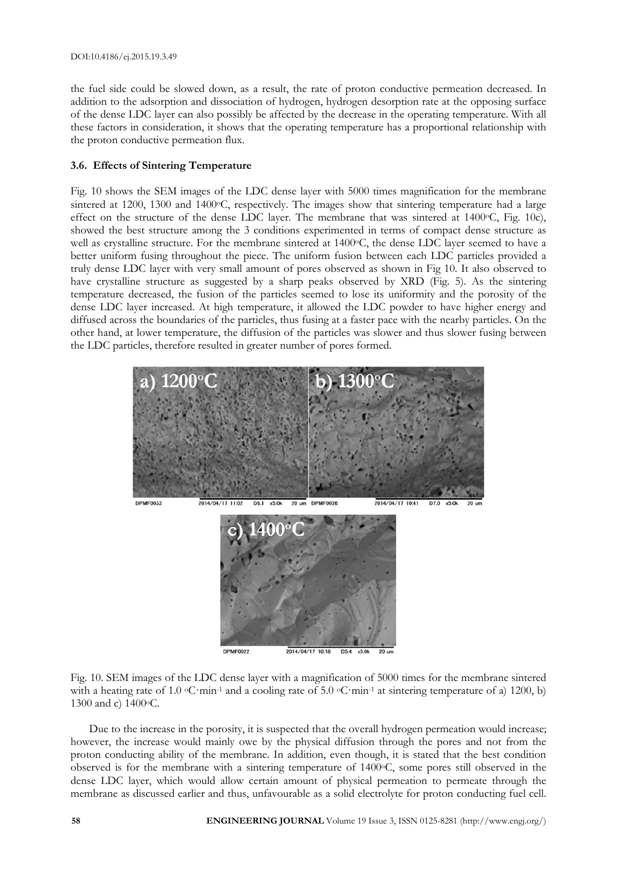the fuel side could be slowed down, as a result, the rate of proton conductive permeation decreased. In addition to the adsorption and dissociation of hydrogen, hydrogen desorption rate at the opposing surface of the dense LDC layer can also possibly be affected by the decrease in the operating temperature. With all these factors in consideration, it shows that the operating temperature has a proportional relationship with the proton conductive permeation flux.

# **3.6. Effects of Sintering Temperature**

Fig. 10 shows the SEM images of the LDC dense layer with 5000 times magnification for the membrane sintered at 1200, 1300 and 1400 °C, respectively. The images show that sintering temperature had a large effect on the structure of the dense LDC layer. The membrane that was sintered at 1400°C, Fig. 10c), showed the best structure among the 3 conditions experimented in terms of compact dense structure as well as crystalline structure. For the membrane sintered at 1400°C, the dense LDC layer seemed to have a better uniform fusing throughout the piece. The uniform fusion between each LDC particles provided a truly dense LDC layer with very small amount of pores observed as shown in Fig 10. It also observed to have crystalline structure as suggested by a sharp peaks observed by XRD (Fig. 5). As the sintering temperature decreased, the fusion of the particles seemed to lose its uniformity and the porosity of the dense LDC layer increased. At high temperature, it allowed the LDC powder to have higher energy and diffused across the boundaries of the particles, thus fusing at a faster pace with the nearby particles. On the other hand, at lower temperature, the diffusion of the particles was slower and thus slower fusing between the LDC particles, therefore resulted in greater number of pores formed.



Fig. 10. SEM images of the LDC dense layer with a magnification of 5000 times for the membrane sintered with a heating rate of 1.0  $\textdegree$ C·min<sup>-1</sup> and a cooling rate of 5.0  $\textdegree$ C·min<sup>-1</sup> at sintering temperature of a) 1200, b) 1300 and c) 1400oC.

Due to the increase in the porosity, it is suspected that the overall hydrogen permeation would increase; however, the increase would mainly owe by the physical diffusion through the pores and not from the proton conducting ability of the membrane. In addition, even though, it is stated that the best condition observed is for the membrane with a sintering temperature of 1400°C, some pores still observed in the dense LDC layer, which would allow certain amount of physical permeation to permeate through the membrane as discussed earlier and thus, unfavourable as a solid electrolyte for proton conducting fuel cell.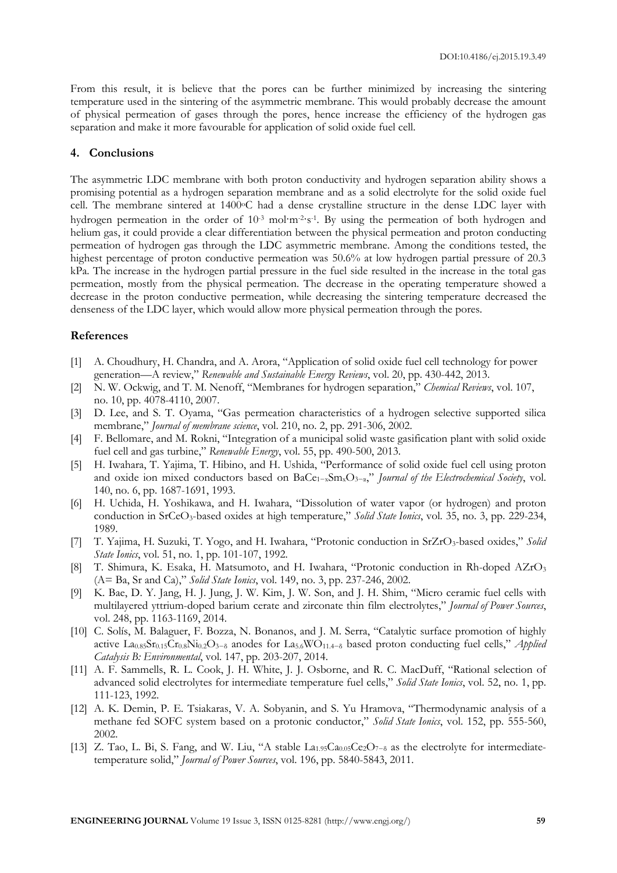From this result, it is believe that the pores can be further minimized by increasing the sintering temperature used in the sintering of the asymmetric membrane. This would probably decrease the amount of physical permeation of gases through the pores, hence increase the efficiency of the hydrogen gas separation and make it more favourable for application of solid oxide fuel cell.

# **4. Conclusions**

The asymmetric LDC membrane with both proton conductivity and hydrogen separation ability shows a promising potential as a hydrogen separation membrane and as a solid electrolyte for the solid oxide fuel cell. The membrane sintered at 1400°C had a dense crystalline structure in the dense LDC layer with hydrogen permeation in the order of 10<sup>-3</sup> mol·m<sup>-2</sup>·s<sup>-1</sup>. By using the permeation of both hydrogen and helium gas, it could provide a clear differentiation between the physical permeation and proton conducting permeation of hydrogen gas through the LDC asymmetric membrane. Among the conditions tested, the highest percentage of proton conductive permeation was 50.6% at low hydrogen partial pressure of 20.3 kPa. The increase in the hydrogen partial pressure in the fuel side resulted in the increase in the total gas permeation, mostly from the physical permeation. The decrease in the operating temperature showed a decrease in the proton conductive permeation, while decreasing the sintering temperature decreased the denseness of the LDC layer, which would allow more physical permeation through the pores.

# **References**

- [1] A. Choudhury, H. Chandra, and A. Arora, "Application of solid oxide fuel cell technology for power generation—A review," *Renewable and Sustainable Energy Reviews*, vol. 20, pp. 430-442, 2013.
- [2] N. W. Ockwig, and T. M. Nenoff, "Membranes for hydrogen separation," *Chemical Reviews*, vol. 107, no. 10, pp. 4078-4110, 2007.
- [3] D. Lee, and S. T. Oyama, "Gas permeation characteristics of a hydrogen selective supported silica membrane," *Journal of membrane science*, vol. 210, no. 2, pp. 291-306, 2002.
- [4] F. Bellomare, and M. Rokni, "Integration of a municipal solid waste gasification plant with solid oxide fuel cell and gas turbine," *Renewable Energy*, vol. 55, pp. 490-500, 2013.
- [5] H. Iwahara, T. Yajima, T. Hibino, and H. Ushida, "Performance of solid oxide fuel cell using proton and oxide ion mixed conductors based on BaCe<sub>1-x</sub>Sm<sub>x</sub>O<sub>3-α</sub>," *Journal of the Electrochemical Society*, vol. 140, no. 6, pp. 1687-1691, 1993.
- [6] H. Uchida, H. Yoshikawa, and H. Iwahara, "Dissolution of water vapor (or hydrogen) and proton conduction in SrCeO3-based oxides at high temperature," *Solid State Ionics*, vol. 35, no. 3, pp. 229-234, 1989.
- [7] T. Yajima, H. Suzuki, T. Yogo, and H. Iwahara, "Protonic conduction in SrZrO3-based oxides," *Solid State Ionics*, vol. 51, no. 1, pp. 101-107, 1992.
- [8] T. Shimura, K. Esaka, H. Matsumoto, and H. Iwahara, "Protonic conduction in Rh-doped AZrO3 (A= Ba, Sr and Ca)," *Solid State Ionics*, vol. 149, no. 3, pp. 237-246, 2002.
- [9] K. Bae, D. Y. Jang, H. J. Jung, J. W. Kim, J. W. Son, and J. H. Shim, "Micro ceramic fuel cells with multilayered yttrium-doped barium cerate and zirconate thin film electrolytes," *Journal of Power Sources*, vol. 248, pp. 1163-1169, 2014.
- [10] C. Solís, M. Balaguer, F. Bozza, N. Bonanos, and J. M. Serra, "Catalytic surface promotion of highly active La0.85Sr0.15Cr0.8Ni0.2O3−δ anodes for La5.6WO11.4−δ based proton conducting fuel cells," *Applied Catalysis B: Environmental*, vol. 147, pp. 203-207, 2014.
- [11] A. F. Sammells, R. L. Cook, J. H. White, J. J. Osborne, and R. C. MacDuff, "Rational selection of advanced solid electrolytes for intermediate temperature fuel cells," *Solid State Ionics*, vol. 52, no. 1, pp. 111-123, 1992.
- [12] A. K. Demin, P. E. Tsiakaras, V. A. Sobyanin, and S. Yu Hramova, "Thermodynamic analysis of a methane fed SOFC system based on a protonic conductor," *Solid State Ionics*, vol. 152, pp. 555-560, 2002.
- [13] Z. Tao, L. Bi, S. Fang, and W. Liu, "A stable  $\text{La}_{1.95}\text{Ca}_{0.05}\text{Ce}_2\text{O}_{7-\delta}$  as the electrolyte for intermediatetemperature solid," *Journal of Power Sources*, vol. 196, pp. 5840-5843, 2011.